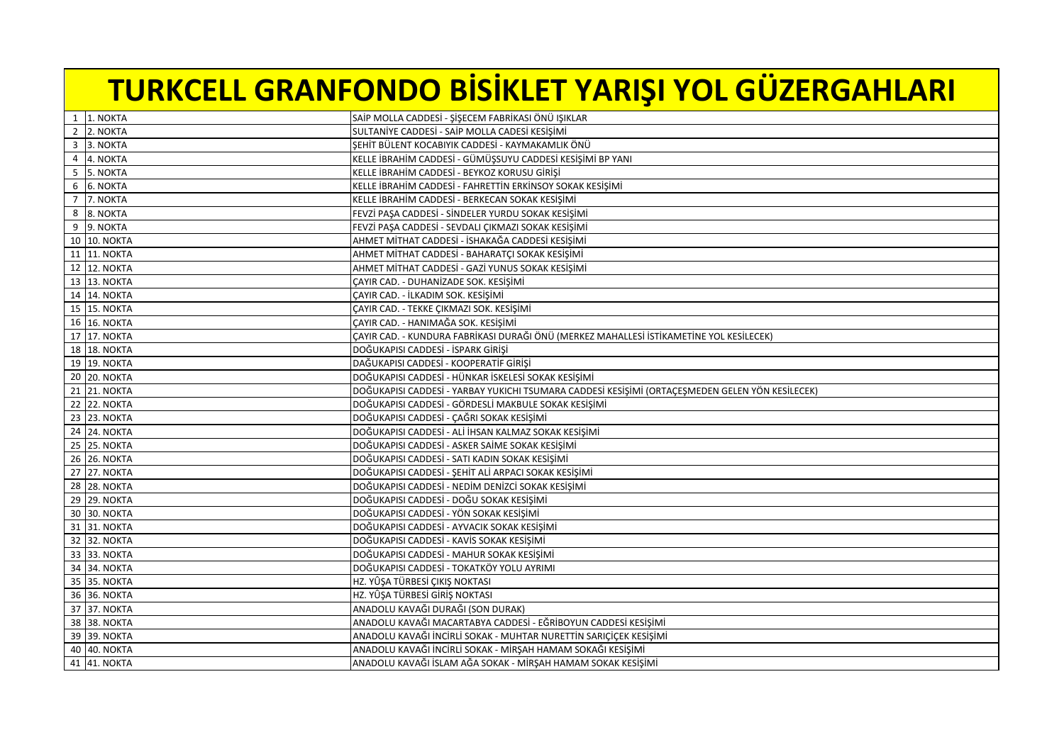## **TURKCELL GRANFONDO BİSİKLET YARIŞI YOL GÜZERGAHLARI**

|   | 1 1. NOKTA   | SAİP MOLLA CADDESİ - ŞİŞECEM FABRİKASI ÖNÜ IŞIKLAR                                              |
|---|--------------|-------------------------------------------------------------------------------------------------|
|   | 2 2. NOKTA   | SULTANİYE CADDESİ - SAİP MOLLA CADESİ KESİŞİMİ                                                  |
|   | 3 3. NOKTA   | ŞEHİT BÜLENT KOCABIYIK CADDESİ - KAYMAKAMLIK ÖNÜ                                                |
|   | 4 4. NOKTA   | KELLE İBRAHİM CADDESİ - GÜMÜŞSUYU CADDESİ KESİŞİMİ BP YANI                                      |
| 5 | 5. NOKTA     | KELLE İBRAHİM CADDESİ - BEYKOZ KORUSU GİRİŞİ                                                    |
|   | 6 6. NOKTA   | KELLE İBRAHİM CADDESİ - FAHRETTİN ERKİNSOY SOKAK KESİŞİMİ                                       |
|   | 7 7. NOKTA   | KELLE İBRAHİM CADDESİ - BERKECAN SOKAK KESİŞİMİ                                                 |
|   | 8 8. NOKTA   | FEVZİ PAŞA CADDESİ - SİNDELER YURDU SOKAK KESİŞİMİ                                              |
|   | 9 9. NOKTA   | FEVZİ PAŞA CADDESİ - SEVDALI ÇIKMAZI SOKAK KESİŞİMİ                                             |
|   | 10 10. NOKTA | AHMET MİTHAT CADDESİ - İSHAKAĞA CADDESİ KESİŞİMİ                                                |
|   | 11 11. NOKTA | AHMET MİTHAT CADDESİ - BAHARATÇI SOKAK KESİŞİMİ                                                 |
|   | 12 12. NOKTA | AHMET MİTHAT CADDESİ - GAZİ YUNUS SOKAK KESİŞİMİ                                                |
|   | 13 13. NOKTA | CAYIR CAD. - DUHANİZADE SOK. KESİŞİMİ                                                           |
|   | 14 14. NOKTA | ÇAYIR CAD. - İLKADIM SOK. KESİŞİMİ                                                              |
|   | 15 15. NOKTA | ÇAYIR CAD. - TEKKE ÇIKMAZI SOK. KESİŞİMİ                                                        |
|   | 16 16. NOKTA | ÇAYIR CAD. - HANIMAĞA SOK. KESİŞİMİ                                                             |
|   | 17 17. NOKTA | CAYIR CAD. - KUNDURA FABRİKASI DURAĞI ÖNÜ (MERKEZ MAHALLESİ İSTİKAMETİNE YOL KESİLECEK)         |
|   | 18 18. NOKTA | DOĞUKAPISI CADDESİ - İSPARK GİRİŞİ                                                              |
|   | 19 19. NOKTA | DAĞUKAPISI CADDESİ - KOOPERATİF GİRİŞİ                                                          |
|   | 20 20. NOKTA | DOĞUKAPISI CADDESİ - HÜNKAR İSKELESİ SOKAK KESİŞİMİ                                             |
|   | 21 21. NOKTA | DOĞUKAPISI CADDESİ - YARBAY YUKICHI TSUMARA CADDESİ KESİŞİMİ (ORTAÇEŞMEDEN GELEN YÖN KESİLECEK) |
|   | 22 22. NOKTA | DOĞUKAPISI CADDESİ - GÖRDESLİ MAKBULE SOKAK KESIŞIMI                                            |
|   | 23 23. NOKTA | DOĞUKAPISI CADDESİ - ÇAĞRI SOKAK KESIŞIMI                                                       |
|   | 24 24. NOKTA | DOĞUKAPISI CADDESİ - ALİ İHSAN KALMAZ SOKAK KESİŞİMİ                                            |
|   | 25 25. NOKTA | DOĞUKAPISI CADDESİ - ASKER SAİME SOKAK KESİŞİMİ                                                 |
|   | 26 26. NOKTA | DOĞUKAPISI CADDESİ - SATI KADIN SOKAK KESİŞİMİ                                                  |
|   | 27 27. NOKTA | DOĞUKAPISI CADDESİ - ŞEHİT ALİ ARPACI SOKAK KESİŞİMİ                                            |
|   | 28 28. NOKTA | DOĞUKAPISI CADDESİ - NEDİM DENİZCİ SOKAK KESIŞIMİ                                               |
|   | 29 29. NOKTA | DOĞUKAPISI CADDESİ - DOĞU SOKAK KESİŞİMİ                                                        |
|   | 30 30. NOKTA | DOĞUKAPISI CADDESİ - YÖN SOKAK KESİŞİMİ                                                         |
|   | 31 31. NOKTA | DOĞUKAPISI CADDESİ - AYVACIK SOKAK KESIŞIMI                                                     |
|   | 32 32. NOKTA | DOĞUKAPISI CADDESİ - KAVİS SOKAK KESİŞİMİ                                                       |
|   | 33 33. NOKTA | DOĞUKAPISI CADDESİ - MAHUR SOKAK KESİŞİMİ                                                       |
|   | 34 34. NOKTA | DOĞUKAPISI CADDESİ - TOKATKÖY YOLU AYRIMI                                                       |
|   | 35 35. NOKTA | HZ. YÛŞA TÜRBESİ ÇIKIŞ NOKTASI                                                                  |
|   | 36 36. NOKTA | HZ. YÛŞA TÜRBESİ GİRİŞ NOKTASI                                                                  |
|   | 37 37. NOKTA | ANADOLU KAVAĞI DURAĞI (SON DURAK)                                                               |
|   | 38 38. NOKTA | ANADOLU KAVAĞI MACARTABYA CADDESİ - EĞRİBOYUN CADDESİ KESİŞİMİ                                  |
|   | 39 39. NOKTA | ANADOLU KAVAĞI İNCIRLI SOKAK - MUHTAR NURETTİN SARIÇIÇEK KESIŞIMI                               |
|   | 40 40. NOKTA | ANADOLU KAVAĞI İNCİRLİ SOKAK - MİRŞAH HAMAM SOKAĞI KESİŞİMİ                                     |
|   | 41 41. NOKTA | ANADOLU KAVAĞI İSLAM AĞA SOKAK - MİRŞAH HAMAM SOKAK KESİŞİMİ                                    |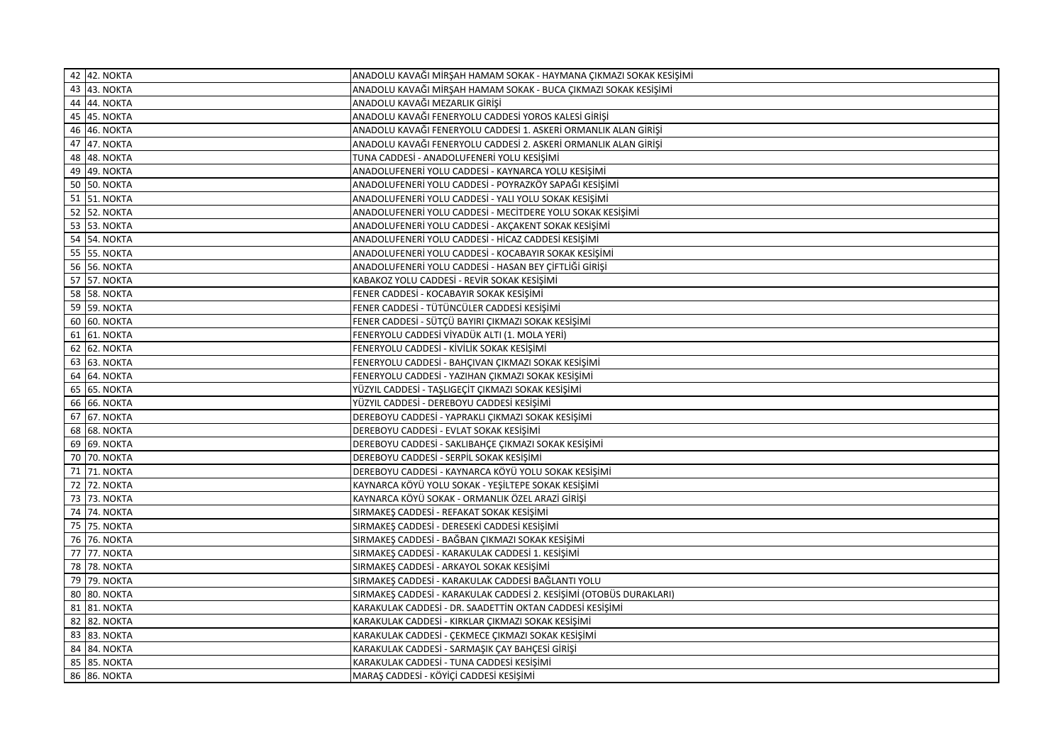| 42 42. NOKTA        | ANADOLU KAVAĞI MİRŞAH HAMAM SOKAK - HAYMANA ÇIKMAZI SOKAK KESİŞİMİ  |
|---------------------|---------------------------------------------------------------------|
| 43 43. NOKTA        | ANADOLU KAVAĞI MİRŞAH HAMAM SOKAK - BUCA ÇIKMAZI SOKAK KESİŞİMİ     |
| 44 44. NOKTA        | ANADOLU KAVAĞI MEZARLIK GİRİŞİ                                      |
| 45 45. NOKTA        | ANADOLU KAVAĞI FENERYOLU CADDESİ YOROS KALESİ GİRİŞİ                |
| 46 46. NOKTA        | ANADOLU KAVAĞI FENERYOLU CADDESİ 1. ASKERİ ORMANLIK ALAN GİRİŞİ     |
| 47 47. NOKTA        | ANADOLU KAVAĞI FENERYOLU CADDESİ 2. ASKERİ ORMANLIK ALAN GİRİŞİ     |
| 48 48. NOKTA        | TUNA CADDESİ - ANADOLUFENERİ YOLU KESİŞİMİ                          |
| 49 49. NOKTA        | ANADOLUFENERİ YOLU CADDESİ - KAYNARCA YOLU KESİŞİMİ                 |
| 50 50. NOKTA        | ANADOLUFENERİ YOLU CADDESİ - POYRAZKÖY SAPAĞI KESIŞIMI              |
| 51 51. NOKTA        | ANADOLUFENERİ YOLU CADDESİ - YALI YOLU SOKAK KESİŞİMİ               |
| 52 52. NOKTA        | ANADOLUFENERİ YOLU CADDESİ - MECİTDERE YOLU SOKAK KESIŞIMI          |
| 53 53. NOKTA        | ANADOLUFENERİ YOLU CADDESİ - AKÇAKENT SOKAK KESİŞİMİ                |
| 54 54. NOKTA        | ANADOLUFENERİ YOLU CADDESİ - HİCAZ CADDESİ KESİŞİMİ                 |
| 55 55. NOKTA        | ANADOLUFENERİ YOLU CADDESİ - KOCABAYIR SOKAK KESIŞIMI               |
| 56 56. NOKTA        | ANADOLUFENERİ YOLU CADDESİ - HASAN BEY ÇİFTLİĞİ GİRİŞİ              |
| <b>57 57. NOKTA</b> | KABAKOZ YOLU CADDESİ - REVİR SOKAK KESİŞİMİ                         |
| 58 58. NOKTA        | FENER CADDESİ - KOCABAYIR SOKAK KESİŞİMİ                            |
| 59 59. NOKTA        | FENER CADDESİ - TÜTÜNCÜLER CADDESİ KESİŞİMİ                         |
| 60 60. NOKTA        | FENER CADDESİ - SÜTÇÜ BAYIRI ÇIKMAZI SOKAK KESİŞİMİ                 |
| 61 61. NOKTA        | FENERYOLU CADDESİ VİYADÜK ALTI (1. MOLA YERİ)                       |
| 62 62. NOKTA        | FENERYOLU CADDESİ - KİVİLİK SOKAK KESİŞİMİ                          |
| 63 63. NOKTA        | FENERYOLU CADDESİ - BAHÇIVAN ÇIKMAZI SOKAK KESİŞİMİ                 |
| 64 64. NOKTA        | FENERYOLU CADDESİ - YAZIHAN ÇIKMAZI SOKAK KESİŞİMİ                  |
| 65 65. NOKTA        | YÜZYIL CADDESİ - TAŞLIGEÇİT ÇIKMAZI SOKAK KESİŞİMİ                  |
| 66 66. NOKTA        | YÜZYIL CADDESİ - DEREBOYU CADDESİ KESIŞIMI                          |
| 67 67. NOKTA        | DEREBOYU CADDESİ - YAPRAKLI ÇIKMAZI SOKAK KESIŞIMI                  |
| 68 68. NOKTA        | DEREBOYU CADDESİ - EVLAT SOKAK KESİŞİMİ                             |
| 69 69. NOKTA        | DEREBOYU CADDESİ - SAKLIBAHÇE ÇIKMAZI SOKAK KESİŞİMİ                |
| 70 70. NOKTA        | DEREBOYU CADDESİ - SERPİL SOKAK KESİŞİMİ                            |
| 71 71. NOKTA        | DEREBOYU CADDESİ - KAYNARCA KÖYÜ YOLU SOKAK KESİŞİMİ                |
| 72 72. NOKTA        | KAYNARCA KÖYÜ YOLU SOKAK - YEŞİLTEPE SOKAK KESİŞİMİ                 |
| 73 73. NOKTA        | KAYNARCA KÖYÜ SOKAK - ORMANLIK ÖZEL ARAZİ GİRİŞİ                    |
| 74 74. NOKTA        | SIRMAKEŞ CADDESİ - REFAKAT SOKAK KESİŞİMİ                           |
| 75 75. NOKTA        | SIRMAKEŞ CADDESİ - DERESEKİ CADDESİ KESİŞİMİ                        |
| 76 76. NOKTA        | SIRMAKEŞ CADDESİ - BAĞBAN ÇIKMAZI SOKAK KESİŞİMİ                    |
| 77 77. NOKTA        | SIRMAKEŞ CADDESİ - KARAKULAK CADDESİ 1. KESİŞİMİ                    |
| 78 78. NOKTA        | SIRMAKEŞ CADDESİ - ARKAYOL SOKAK KESİŞİMİ                           |
| 79 79. NOKTA        | SIRMAKEŞ CADDESİ - KARAKULAK CADDESİ BAĞLANTI YOLU                  |
| 80 80. NOKTA        | SIRMAKEŞ CADDESİ - KARAKULAK CADDESİ 2. KESİŞİMİ (OTOBÜS DURAKLARI) |
| 81 81. NOKTA        | KARAKULAK CADDESİ - DR. SAADETTİN OKTAN CADDESİ KESİŞİMİ            |
| 82 82. NOKTA        | KARAKULAK CADDESİ - KIRKLAR ÇIKMAZI SOKAK KESİŞİMİ                  |
| 83 83. NOKTA        | KARAKULAK CADDESİ - ÇEKMECE ÇIKMAZI SOKAK KESİŞİMİ                  |
| 84 84. NOKTA        | KARAKULAK CADDESİ - SARMAŞIK ÇAY BAHÇESİ GİRİŞİ                     |
| 85 85. NOKTA        | KARAKULAK CADDESİ - TUNA CADDESİ KESİŞİMİ                           |
| 86 86. NOKTA        | MARAŞ CADDESİ - KÖYİÇİ CADDESİ KESİŞİMİ                             |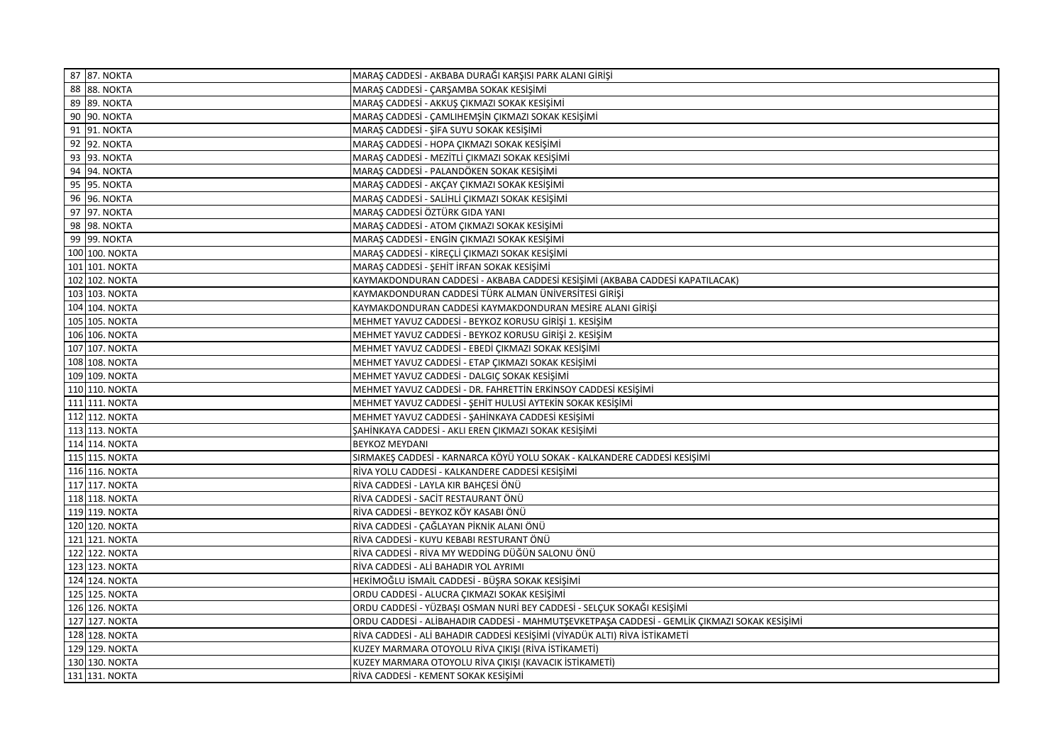| 87 87. NOKTA   | MARAŞ CADDESİ - AKBABA DURAĞI KARŞISI PARK ALANI GİRİŞİ                                      |
|----------------|----------------------------------------------------------------------------------------------|
| 88 88. NOKTA   | MARAŞ CADDESİ - ÇARŞAMBA SOKAK KESİŞİMİ                                                      |
| 89 89. NOKTA   | MARAŞ CADDESİ - AKKUŞ ÇIKMAZI SOKAK KESİŞİMİ                                                 |
| 90 90. NOKTA   | MARAŞ CADDESİ - ÇAMLIHEMŞİN ÇIKMAZI SOKAK KESIŞİMİ                                           |
| 91 91. NOKTA   | MARAŞ CADDESİ - ŞİFA SUYU SOKAK KESİŞİMİ                                                     |
| 92 92. NOKTA   | MARAŞ CADDESİ - HOPA ÇIKMAZI SOKAK KESIŞİMİ                                                  |
| 93 93. NOKTA   | MARAŞ CADDESİ - MEZİTLİ ÇIKMAZI SOKAK KESİŞİMİ                                               |
| 94 94. NOKTA   | MARAŞ CADDESİ - PALANDÖKEN SOKAK KESİŞİMİ                                                    |
| 95 95. NOKTA   | MARAŞ CADDESİ - AKÇAY ÇIKMAZI SOKAK KESIŞIMI                                                 |
| 96 96. NOKTA   | MARAŞ CADDESİ - SALİHLİ ÇIKMAZI SOKAK KESİŞİMİ                                               |
| 97 97. NOKTA   | MARAŞ CADDESİ ÖZTÜRK GIDA YANI                                                               |
| 98 98. NOKTA   | MARAŞ CADDESİ - ATOM ÇIKMAZI SOKAK KESIŞIMI                                                  |
| 99 99. NOKTA   | MARAŞ CADDESİ - ENGİN ÇIKMAZI SOKAK KESİŞİMİ                                                 |
| 100 100. NOKTA | MARAŞ CADDESİ - KİREÇLİ ÇIKMAZI SOKAK KESİŞİMİ                                               |
| 101 101. NOKTA | MARAŞ CADDESİ - ŞEHİT İRFAN SOKAK KESİŞİMİ                                                   |
| 102 102. NOKTA | KAYMAKDONDURAN CADDESİ - AKBABA CADDESİ KESİŞİMİ (AKBABA CADDESİ KAPATILACAK)                |
| 103 103. NOKTA | KAYMAKDONDURAN CADDESI TÜRK ALMAN ÜNIVERSITESI GIRIŞI                                        |
| 104 104. NOKTA | KAYMAKDONDURAN CADDESI KAYMAKDONDURAN MESIRE ALANI GIRIŞI                                    |
| 105 105. NOKTA | MEHMET YAVUZ CADDESİ - BEYKOZ KORUSU GİRİŞİ 1. KESİŞİM                                       |
| 106 106. NOKTA | MEHMET YAVUZ CADDESİ - BEYKOZ KORUSU GİRİŞİ 2. KESİŞİM                                       |
| 107 107. NOKTA | MEHMET YAVUZ CADDESİ - EBEDİ ÇIKMAZI SOKAK KESİŞİMİ                                          |
| 108 108. NOKTA | MEHMET YAVUZ CADDESİ - ETAP ÇIKMAZI SOKAK KESİŞİMİ                                           |
| 109 109. NOKTA | MEHMET YAVUZ CADDESİ - DALGIÇ SOKAK KESİŞİMİ                                                 |
| 110 110. NOKTA | MEHMET YAVUZ CADDESİ - DR. FAHRETTİN ERKİNSOY CADDESİ KESİŞİMİ                               |
| 111 111. NOKTA | MEHMET YAVUZ CADDESİ - ŞEHİT HULUSİ AYTEKİN SOKAK KESİŞİMİ                                   |
| 112 112. NOKTA | MEHMET YAVUZ CADDESİ - ŞAHİNKAYA CADDESİ KESİŞİMİ                                            |
| 113 113. NOKTA | ŞAHİNKAYA CADDESİ - AKLI EREN ÇIKMAZI SOKAK KESIŞİMİ                                         |
| 114 114. NOKTA | <b>BEYKOZ MEYDANI</b>                                                                        |
| 115 115. NOKTA | SIRMAKEŞ CADDESİ - KARNARCA KÖYÜ YOLU SOKAK - KALKANDERE CADDESİ KESİŞİMİ                    |
| 116 116. NOKTA | RİVA YOLU CADDESİ - KALKANDERE CADDESİ KESİŞİMİ                                              |
| 117 117. NOKTA | RİVA CADDESİ - LAYLA KIR BAHÇESİ ÖNÜ                                                         |
| 118 118. NOKTA | RİVA CADDESİ - SACİT RESTAURANT ÖNÜ                                                          |
| 119 119. NOKTA | RİVA CADDESİ - BEYKOZ KÖY KASABI ÖNÜ                                                         |
| 120 120. NOKTA | RİVA CADDESİ - ÇAĞLAYAN PİKNİK ALANI ÖNÜ                                                     |
| 121 121. NOKTA | RİVA CADDESİ - KUYU KEBABI RESTURANT ÖNÜ                                                     |
| 122 122. NOKTA | RİVA CADDESİ - RİVA MY WEDDİNG DÜĞÜN SALONU ÖNÜ                                              |
| 123 123. NOKTA | RİVA CADDESİ - ALİ BAHADIR YOL AYRIMI                                                        |
| 124 124. NOKTA | HEKİMOĞLU İSMAİL CADDESİ - BÜŞRA SOKAK KESIŞİMİ                                              |
| 125 125. NOKTA | ORDU CADDESİ - ALUCRA ÇIKMAZI SOKAK KESİŞİMİ                                                 |
| 126 126. NOKTA | ORDU CADDESİ - YÜZBAŞI OSMAN NURİ BEY CADDESİ - SELÇUK SOKAĞI KESİŞİMİ                       |
| 127 127. NOKTA | ORDU CADDESİ - ALİBAHADIR CADDESİ - MAHMUTŞEVKETPAŞA CADDESİ - GEMLİK ÇIKMAZI SOKAK KESİŞİMİ |
| 128 128. NOKTA | RİVA CADDESİ - ALİ BAHADIR CADDESİ KESİŞİMİ (VİYADÜK ALTI) RİVA İSTİKAMETİ                   |
| 129 129. NOKTA | KUZEY MARMARA OTOYOLU RİVA ÇIKIŞI (RİVA İSTİKAMETİ)                                          |
| 130 130. NOKTA | KUZEY MARMARA OTOYOLU RİVA ÇIKIŞI (KAVACIK İSTİKAMETİ)                                       |
| 131 131. NOKTA | RİVA CADDESİ - KEMENT SOKAK KESİSİMİ                                                         |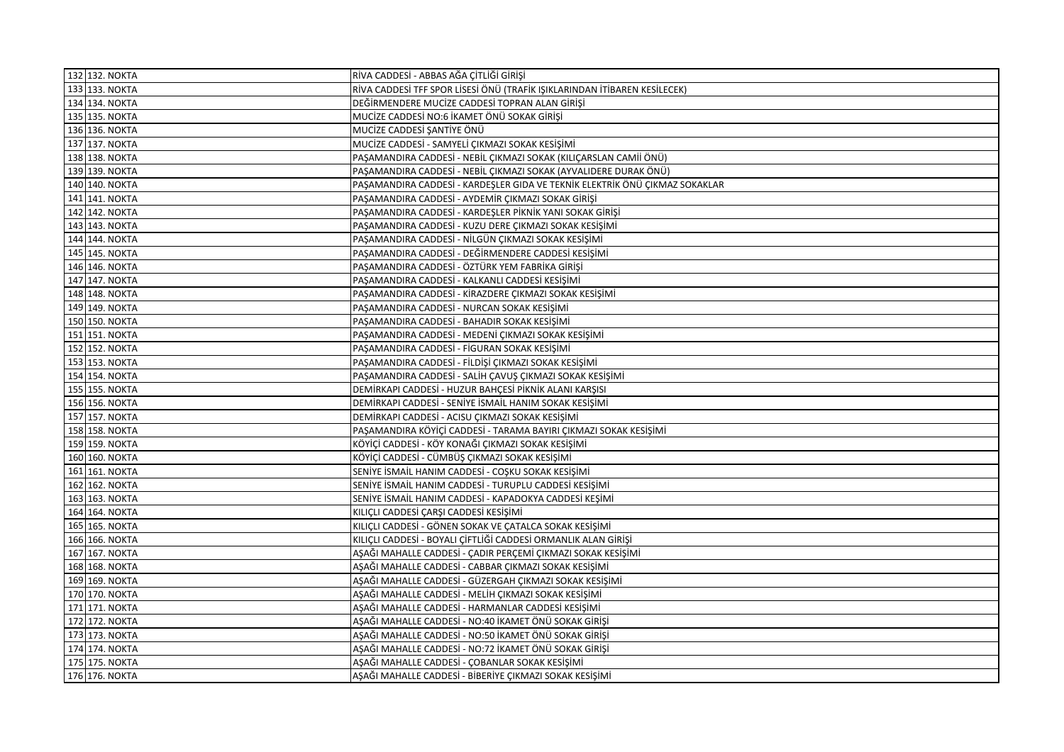| 132 132. NOKTA | RİVA CADDESİ - ABBAS AĞA ÇİTLİĞİ GİRİŞİ                                     |
|----------------|-----------------------------------------------------------------------------|
| 133 133. NOKTA | RİVA CADDESİ TFF SPOR LİSESİ ÖNÜ (TRAFİK IŞIKLARINDAN İTİBAREN KESİLECEK)   |
| 134 134. NOKTA | DEĞİRMENDERE MUCİZE CADDESİ TOPRAN ALAN GİRİŞİ                              |
| 135 135. NOKTA | MUCİZE CADDESİ NO:6 İKAMET ÖNÜ SOKAK GİRİŞİ                                 |
| 136 136. NOKTA | MUCİZE CADDESİ ŞANTİYE ÖNÜ                                                  |
| 137 137. NOKTA | MUCİZE CADDESİ - SAMYELİ ÇIKMAZI SOKAK KESİŞİMİ                             |
| 138 138. NOKTA | PAŞAMANDIRA CADDESİ - NEBİL ÇIKMAZI SOKAK (KILIÇARSLAN CAMİİ ÖNÜ)           |
| 139 139. NOKTA | PAŞAMANDIRA CADDESİ - NEBİL ÇIKMAZI SOKAK (AYVALIDERE DURAK ÖNÜ)            |
| 140 140. NOKTA | PAŞAMANDIRA CADDESİ - KARDEŞLER GIDA VE TEKNİK ELEKTRİK ÖNÜ ÇIKMAZ SOKAKLAR |
| 141 141. NOKTA | PAŞAMANDIRA CADDESİ - AYDEMİR ÇIKMAZI SOKAK GİRİŞİ                          |
| 142 142. NOKTA | PAŞAMANDIRA CADDESİ - KARDEŞLER PİKNİK YANI SOKAK GİRİŞİ                    |
| 143 143. NOKTA | PAŞAMANDIRA CADDESİ - KUZU DERE ÇIKMAZI SOKAK KESİŞİMİ                      |
| 144 144. NOKTA | PAŞAMANDIRA CADDESİ - NİLGÜN ÇIKMAZI SOKAK KESİŞİMİ                         |
| 145 145. NOKTA | PAŞAMANDIRA CADDESİ - DEĞİRMENDERE CADDESİ KESIŞIMI                         |
| 146 146. NOKTA | PAŞAMANDIRA CADDESİ - ÖZTÜRK YEM FABRİKA GİRİŞİ                             |
| 147 147. NOKTA | PAŞAMANDIRA CADDESİ - KALKANLI CADDESİ KESİŞİMİ                             |
| 148 148. NOKTA | PAŞAMANDIRA CADDESİ - KİRAZDERE ÇIKMAZI SOKAK KESİŞİMİ                      |
| 149 149. NOKTA | PAŞAMANDIRA CADDESİ - NURCAN SOKAK KESIŞIMI                                 |
| 150 150. NOKTA | PAŞAMANDIRA CADDESİ - BAHADIR SOKAK KESİŞİMİ                                |
| 151 151. NOKTA | PAŞAMANDIRA CADDESİ - MEDENİ ÇIKMAZI SOKAK KESIŞIMI                         |
| 152 152. NOKTA | PAŞAMANDIRA CADDESİ - FİGURAN SOKAK KESIŞIMI                                |
| 153 153. NOKTA | PAŞAMANDIRA CADDESİ - FİLDİŞİ ÇIKMAZI SOKAK KESİŞİMİ                        |
| 154 154. NOKTA | PAŞAMANDIRA CADDESİ - SALİH ÇAVUŞ ÇIKMAZI SOKAK KESİŞİMİ                    |
| 155 155. NOKTA | DEMİRKAPI CADDESİ - HUZUR BAHÇESİ PİKNİK ALANI KARŞISI                      |
| 156 156. NOKTA | DEMİRKAPI CADDESİ - SENİYE İSMAİL HANIM SOKAK KESİŞİMİ                      |
| 157 157. NOKTA | DEMİRKAPI CADDESİ - ACISU ÇIKMAZI SOKAK KESİŞİMİ                            |
| 158 158. NOKTA | PAŞAMANDIRA KÖYİÇİ CADDESİ - TARAMA BAYIRI ÇIKMAZI SOKAK KESİŞİMİ           |
| 159 159. NOKTA | KÖYİÇİ CADDESİ - KÖY KONAĞI ÇIKMAZI SOKAK KESİŞİMİ                          |
| 160 160. NOKTA | KÖYİÇİ CADDESİ - CÜMBÜŞ ÇIKMAZI SOKAK KESİŞİMİ                              |
| 161 161. NOKTA | SENİYE İSMAİL HANIM CADDESİ - COŞKU SOKAK KESİŞİMİ                          |
| 162 162. NOKTA | SENİYE İSMAİL HANIM CADDESİ - TURUPLU CADDESİ KESİŞİMİ                      |
| 163 163. NOKTA | SENİYE İSMAİL HANIM CADDESİ - KAPADOKYA CADDESİ KEŞİMİ                      |
| 164 164. NOKTA | KILIÇLI CADDESİ ÇARŞI CADDESİ KESİŞİMİ                                      |
| 165 165. NOKTA | KILIÇLI CADDESİ - GÖNEN SOKAK VE ÇATALCA SOKAK KESİŞİMİ                     |
| 166 166. NOKTA | KILIÇLI CADDESİ - BOYALI ÇİFTLİĞİ CADDESİ ORMANLIK ALAN GİRİŞİ              |
| 167 167. NOKTA | AŞAĞI MAHALLE CADDESİ - ÇADIR PERÇEMİ ÇIKMAZI SOKAK KESİŞİMİ                |
| 168 168. NOKTA | AŞAĞI MAHALLE CADDESİ - CABBAR ÇIKMAZI SOKAK KESİŞİMİ                       |
| 169 169. NOKTA | AŞAĞI MAHALLE CADDESİ - GÜZERGAH ÇIKMAZI SOKAK KESIŞIMI                     |
| 170 170. NOKTA | AŞAĞI MAHALLE CADDESİ - MELİH ÇIKMAZI SOKAK KESİŞİMİ                        |
| 171 171. NOKTA | AŞAĞI MAHALLE CADDESİ - HARMANLAR CADDESİ KESİŞİMİ                          |
| 172 172. NOKTA | AŞAĞI MAHALLE CADDESİ - NO:40 İKAMET ÖNÜ SOKAK GİRİŞİ                       |
| 173 173. NOKTA | AŞAĞI MAHALLE CADDESİ - NO:50 İKAMET ÖNÜ SOKAK GİRİŞİ                       |
| 174 174. NOKTA | AŞAĞI MAHALLE CADDESİ - NO:72 İKAMET ÖNÜ SOKAK GİRİŞİ                       |
| 175 175. NOKTA | AŞAĞI MAHALLE CADDESİ - ÇOBANLAR SOKAK KESİŞİMİ                             |
| 176 176. NOKTA | ASAĞI MAHALLE CADDESİ - BİBERİYE ÇIKMAZI SOKAK KESİŞİMİ                     |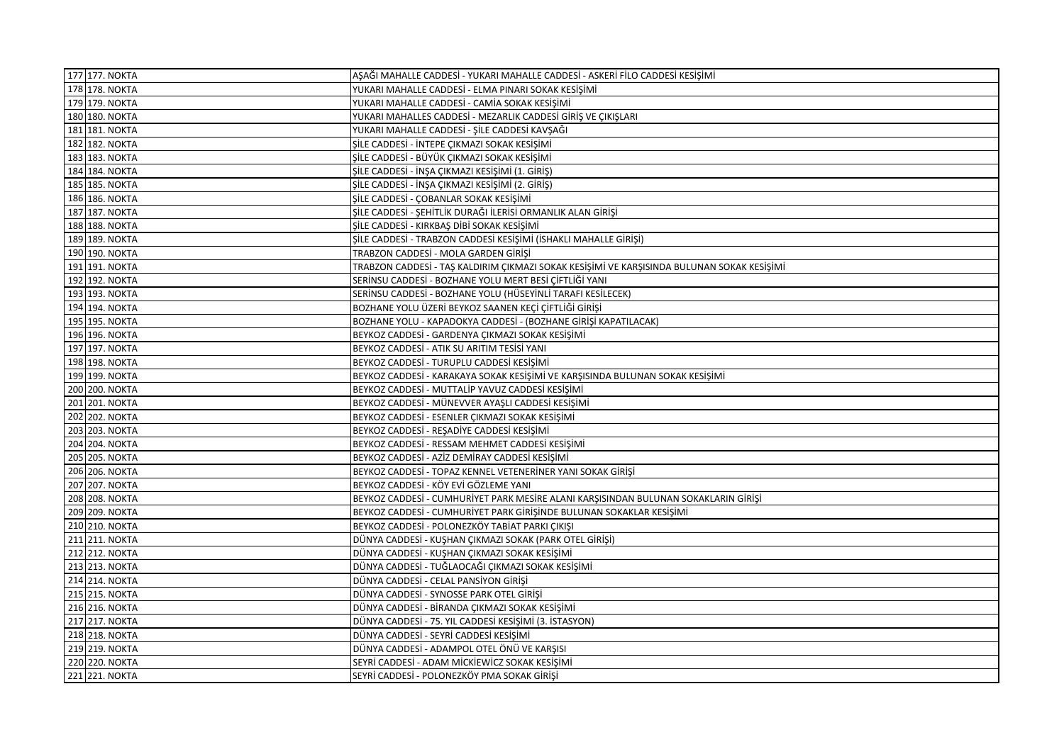| 177 177. NOKTA | AŞAĞI MAHALLE CADDESİ - YUKARI MAHALLE CADDESİ - ASKERİ FİLO CADDESİ KESİŞİMİ              |
|----------------|--------------------------------------------------------------------------------------------|
| 178 178. NOKTA | YUKARI MAHALLE CADDESİ - ELMA PINARI SOKAK KESİŞİMİ                                        |
| 179 179. NOKTA | YUKARI MAHALLE CADDESİ - CAMİA SOKAK KESİŞİMİ                                              |
| 180 180. NOKTA | YUKARI MAHALLES CADDESİ - MEZARLIK CADDESİ GİRİŞ VE ÇIKIŞLARI                              |
| 181 181. NOKTA | YUKARI MAHALLE CADDESİ - ŞİLE CADDESİ KAVŞAĞI                                              |
| 182 182. NOKTA | ŞİLE CADDESİ - İNTEPE ÇIKMAZI SOKAK KESİŞİMİ                                               |
| 183 183. NOKTA | ŞİLE CADDESİ - BÜYÜK ÇIKMAZI SOKAK KESİŞİMİ                                                |
| 184 184. NOKTA | ŞİLE CADDESİ - İNŞA ÇIKMAZI KESİŞİMİ (1. GİRİŞ)                                            |
| 185 185. NOKTA | ŞİLE CADDESİ - İNŞA ÇIKMAZI KESİŞİMİ (2. GİRİŞ)                                            |
| 186 186. NOKTA | ŞİLE CADDESİ - ÇOBANLAR SOKAK KESİŞİMİ                                                     |
| 187 187. NOKTA | ŞİLE CADDESİ - ŞEHİTLİK DURAĞI İLERİSİ ORMANLIK ALAN GİRİŞİ                                |
| 188 188. NOKTA | ŞİLE CADDESİ - KIRKBAŞ DİBİ SOKAK KESİŞİMİ                                                 |
| 189 189. NOKTA | ŞİLE CADDESİ - TRABZON CADDESİ KESİŞİMİ (İSHAKLI MAHALLE GİRİŞİ)                           |
| 190 190. NOKTA | TRABZON CADDESİ - MOLA GARDEN GİRİŞİ                                                       |
| 191 191. NOKTA | TRABZON CADDESİ - TAŞ KALDIRIM ÇIKMAZI SOKAK KESİŞİMİ VE KARŞISINDA BULUNAN SOKAK KESİŞİMİ |
| 192 192. NOKTA | SERİNSU CADDESİ - BOZHANE YOLU MERT BESİ ÇİFTLİĞİ YANI                                     |
| 193 193. NOKTA | SERİNSU CADDESİ - BOZHANE YOLU (HÜSEYİNLİ TARAFI KESİLECEK)                                |
| 194 194. NOKTA | BOZHANE YOLU ÜZERİ BEYKOZ SAANEN KEÇİ ÇİFTLİĞİ GİRİŞİ                                      |
| 195 195. NOKTA | BOZHANE YOLU - KAPADOKYA CADDESİ - (BOZHANE GİRİŞİ KAPATILACAK)                            |
| 196 196. NOKTA | BEYKOZ CADDESİ - GARDENYA ÇIKMAZI SOKAK KESİŞİMİ                                           |
| 197 197. NOKTA | BEYKOZ CADDESİ - ATIK SU ARITIM TESİSİ YANI                                                |
| 198 198. NOKTA | BEYKOZ CADDESİ - TURUPLU CADDESİ KESİŞİMİ                                                  |
| 199 199. NOKTA | BEYKOZ CADDESİ - KARAKAYA SOKAK KESIŞIMI VE KARŞISINDA BULUNAN SOKAK KESIŞIMI              |
| 200 200. NOKTA | BEYKOZ CADDESİ - MUTTALİP YAVUZ CADDESİ KESİŞİMİ                                           |
| 201 201. NOKTA | BEYKOZ CADDESİ - MÜNEVVER AYAŞLI CADDESİ KESİŞİMİ                                          |
| 202 202. NOKTA | BEYKOZ CADDESİ - ESENLER ÇIKMAZI SOKAK KESİŞİMİ                                            |
| 203 203. NOKTA | BEYKOZ CADDESİ - REŞADİYE CADDESİ KESİŞİMİ                                                 |
| 204 204. NOKTA | BEYKOZ CADDESİ - RESSAM MEHMET CADDESİ KESIŞIMI                                            |
| 205 205. NOKTA | BEYKOZ CADDESİ - AZİZ DEMİRAY CADDESİ KESİŞİMİ                                             |
| 206 206. NOKTA | BEYKOZ CADDESİ - TOPAZ KENNEL VETENERİNER YANI SOKAK GİRİŞİ                                |
| 207 207. NOKTA | BEYKOZ CADDESİ - KÖY EVİ GÖZLEME YANI                                                      |
| 208 208. NOKTA | BEYKOZ CADDESİ - CUMHURİYET PARK MESİRE ALANI KARŞISINDAN BULUNAN SOKAKLARIN GİRIŞI        |
| 209 209. NOKTA | BEYKOZ CADDESİ - CUMHURİYET PARK GİRİŞİNDE BULUNAN SOKAKLAR KESİŞİMİ                       |
| 210 210. NOKTA | BEYKOZ CADDESİ - POLONEZKÖY TABİAT PARKI ÇIKIŞI                                            |
| 211 211. NOKTA | DÜNYA CADDESİ - KUŞHAN ÇIKMAZI SOKAK (PARK OTEL GİRİŞİ)                                    |
| 212 212. NOKTA | DÜNYA CADDESİ - KUŞHAN ÇIKMAZI SOKAK KESİŞİMİ                                              |
| 213 213. NOKTA | DÜNYA CADDESİ - TUĞLAOCAĞI ÇIKMAZI SOKAK KESIŞIMI                                          |
| 214 214. NOKTA | DÜNYA CADDESİ - CELAL PANSİYON GİRİŞİ                                                      |
| 215 215. NOKTA | DÜNYA CADDESİ - SYNOSSE PARK OTEL GİRİŞİ                                                   |
| 216 216. NOKTA | DÜNYA CADDESİ - BİRANDA ÇIKMAZI SOKAK KESİŞİMİ                                             |
| 217 217. NOKTA | DÜNYA CADDESİ - 75. YIL CADDESİ KESİŞİMİ (3. İSTASYON)                                     |
| 218 218. NOKTA | DÜNYA CADDESİ - SEYRİ CADDESİ KESİŞİMİ                                                     |
| 219 219. NOKTA | DÜNYA CADDESİ - ADAMPOL OTEL ÖNÜ VE KARŞISI                                                |
| 220 220. NOKTA | SEYRİ CADDESİ - ADAM MİCKİEWİCZ SOKAK KESİŞİMİ                                             |
| 221 221. NOKTA | SEYRİ CADDESİ - POLONEZKÖY PMA SOKAK GİRİŞİ                                                |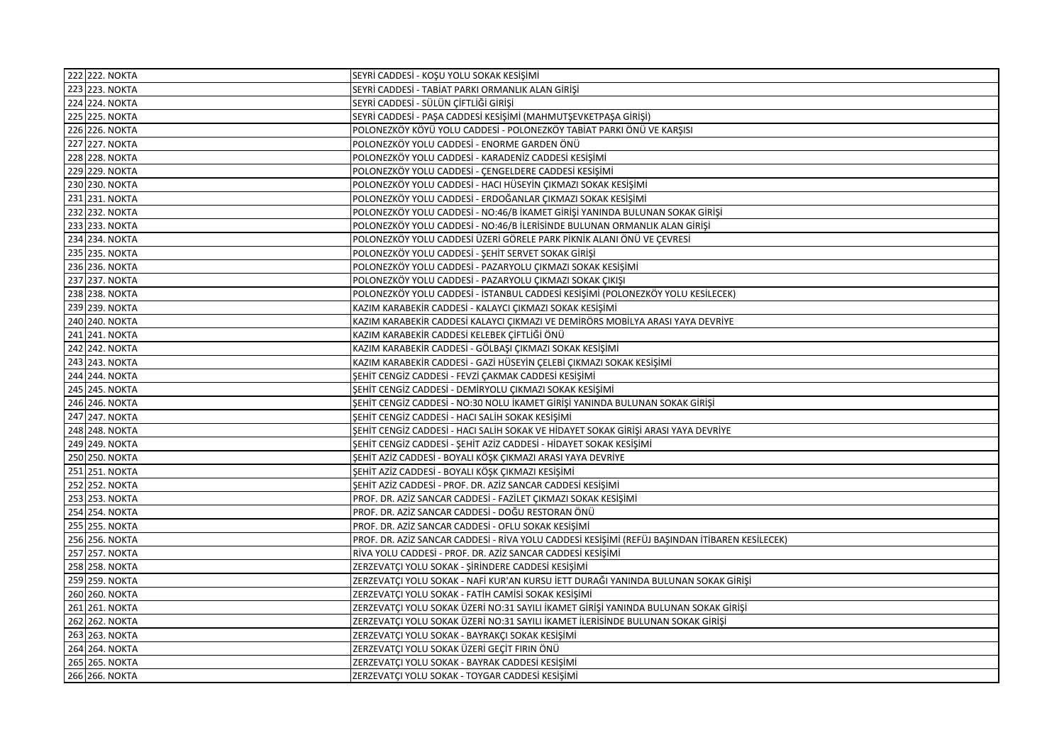| 222 222. NOKTA | SEYRİ CADDESİ - KOŞU YOLU SOKAK KESİŞİMİ                                                       |
|----------------|------------------------------------------------------------------------------------------------|
| 223 223. NOKTA | SEYRİ CADDESİ - TABİAT PARKI ORMANLIK ALAN GİRİŞİ                                              |
| 224 224. NOKTA | SEYRİ CADDESİ - SÜLÜN ÇİFTLİĞİ GİRİŞİ                                                          |
| 225 225. NOKTA | SEYRİ CADDESİ - PAŞA CADDESİ KESİŞİMİ (MAHMUTŞEVKETPAŞA GİRİŞİ)                                |
| 226 226. NOKTA | POLONEZKÖY KÖYÜ YOLU CADDESİ - POLONEZKÖY TABİAT PARKI ÖNÜ VE KARŞISI                          |
| 227 227. NOKTA | POLONEZKÖY YOLU CADDESİ - ENORME GARDEN ÖNÜ                                                    |
| 228 228. NOKTA | POLONEZKÖY YOLU CADDESİ - KARADENİZ CADDESİ KESİŞİMİ                                           |
| 229 229. NOKTA | POLONEZKÖY YOLU CADDESİ - ÇENGELDERE CADDESİ KESİŞİMİ                                          |
| 230 230. NOKTA | POLONEZKÖY YOLU CADDESİ - HACI HÜSEYİN ÇIKMAZI SOKAK KESİŞİMİ                                  |
| 231 231. NOKTA | POLONEZKÖY YOLU CADDESİ - ERDOĞANLAR ÇIKMAZI SOKAK KESİŞİMİ                                    |
| 232 232. NOKTA | POLONEZKÖY YOLU CADDESİ - NO:46/B İKAMET GİRİŞİ YANINDA BULUNAN SOKAK GİRİŞİ                   |
| 233 233. NOKTA | POLONEZKÖY YOLU CADDESİ - NO:46/B İLERİSİNDE BULUNAN ORMANLIK ALAN GİRİŞİ                      |
| 234 234. NOKTA | POLONEZKÖY YOLU CADDESİ ÜZERİ GÖRELE PARK PİKNİK ALANI ÖNÜ VE ÇEVRESİ                          |
| 235 235. NOKTA | POLONEZKÖY YOLU CADDESİ - ŞEHİT SERVET SOKAK GİRİŞİ                                            |
| 236 236. NOKTA | POLONEZKÖY YOLU CADDESİ - PAZARYOLU ÇIKMAZI SOKAK KESİŞİMİ                                     |
| 237 237. NOKTA | POLONEZKÖY YOLU CADDESİ - PAZARYOLU ÇIKMAZI SOKAK ÇIKIŞI                                       |
| 238 238. NOKTA | POLONEZKÖY YOLU CADDESİ - İSTANBUL CADDESİ KESİŞİMİ (POLONEZKÖY YOLU KESİLECEK)                |
| 239 239. NOKTA | KAZIM KARABEKİR CADDESİ - KALAYCI ÇIKMAZI SOKAK KESİŞİMİ                                       |
| 240 240. NOKTA | KAZIM KARABEKİR CADDESİ KALAYCI ÇIKMAZI VE DEMİRÖRS MOBİLYA ARASI YAYA DEVRİYE                 |
| 241 241. NOKTA | KAZIM KARABEKİR CADDESİ KELEBEK ÇİFTLİĞİ ÖNÜ                                                   |
| 242 242. NOKTA | KAZIM KARABEKİR CADDESİ - GÖLBAŞI ÇIKMAZI SOKAK KESİŞİMİ                                       |
| 243 243. NOKTA | KAZIM KARABEKİR CADDESİ - GAZİ HÜSEYİN ÇELEBİ ÇIKMAZI SOKAK KESİŞİMİ                           |
| 244 244. NOKTA | ŞEHİT CENGİZ CADDESİ - FEVZİ ÇAKMAK CADDESİ KESİŞİMİ                                           |
| 245 245. NOKTA | ŞEHİT CENGİZ CADDESİ - DEMİRYOLU ÇIKMAZI SOKAK KESİŞİMİ                                        |
| 246 246. NOKTA | ŞEHİT CENGİZ CADDESİ - NO:30 NOLU İKAMET GİRİŞİ YANINDA BULUNAN SOKAK GİRİŞİ                   |
| 247 247. NOKTA | ŞEHİT CENGİZ CADDESİ - HACI SALİH SOKAK KESİŞİMİ                                               |
| 248 248. NOKTA | ŞEHİT CENGİZ CADDESİ - HACI SALİH SOKAK VE HİDAYET SOKAK GİRİŞİ ARASI YAYA DEVRİYE             |
| 249 249. NOKTA | ŞEHİT CENGİZ CADDESİ - ŞEHİT AZİZ CADDESİ - HİDAYET SOKAK KESİŞİMİ                             |
| 250 250. NOKTA | ŞEHİT AZİZ CADDESİ - BOYALI KÖŞK ÇIKMAZI ARASI YAYA DEVRİYE                                    |
| 251 251. NOKTA | ŞEHİT AZİZ CADDESİ - BOYALI KÖŞK ÇIKMAZI KESİŞİMİ                                              |
| 252 252. NOKTA | ŞEHİT AZİZ CADDESİ - PROF. DR. AZİZ SANCAR CADDESİ KESİŞİMİ                                    |
| 253 253. NOKTA | PROF. DR. AZİZ SANCAR CADDESİ - FAZİLET ÇIKMAZI SOKAK KESİŞİMİ                                 |
| 254 254. NOKTA | PROF. DR. AZİZ SANCAR CADDESİ - DOĞU RESTORAN ÖNÜ                                              |
| 255 255. NOKTA | PROF. DR. AZİZ SANCAR CADDESİ - OFLU SOKAK KESİŞİMİ                                            |
| 256 256. NOKTA | PROF. DR. AZİZ SANCAR CADDESİ - RİVA YOLU CADDESİ KESİŞİMİ (REFÜJ BAŞINDAN İTİBAREN KESİLECEK) |
| 257 257. NOKTA | RİVA YOLU CADDESİ - PROF. DR. AZİZ SANCAR CADDESİ KESİŞİMİ                                     |
| 258 258. NOKTA | ZERZEVATÇI YOLU SOKAK - ŞİRİNDERE CADDESİ KESİŞİMİ                                             |
| 259 259. NOKTA | ZERZEVATÇI YOLU SOKAK - NAFİ KUR'AN KURSU İETT DURAĞI YANINDA BULUNAN SOKAK GİRİŞİ             |
| 260 260. NOKTA | ZERZEVATÇI YOLU SOKAK - FATİH CAMİSİ SOKAK KESİŞİMİ                                            |
| 261 261. NOKTA | ZERZEVATÇI YOLU SOKAK ÜZERİ NO:31 SAYILI İKAMET GİRİŞİ YANINDA BULUNAN SOKAK GİRİŞİ            |
| 262 262. NOKTA | ZERZEVATCI YOLU SOKAK ÜZERİ NO:31 SAYILI İKAMET İLERİSİNDE BULUNAN SOKAK GİRİSİ                |
| 263 263. NOKTA | ZERZEVATÇI YOLU SOKAK - BAYRAKÇI SOKAK KESİŞİMİ                                                |
| 264 264. NOKTA | ZERZEVATÇI YOLU SOKAK ÜZERİ GEÇİT FIRIN ÖNÜ                                                    |
| 265 265. NOKTA | ZERZEVATÇI YOLU SOKAK - BAYRAK CADDESİ KESİŞİMİ                                                |
| 266 266. NOKTA | ZERZEVATCI YOLU SOKAK - TOYGAR CADDESİ KESİŞİMİ                                                |